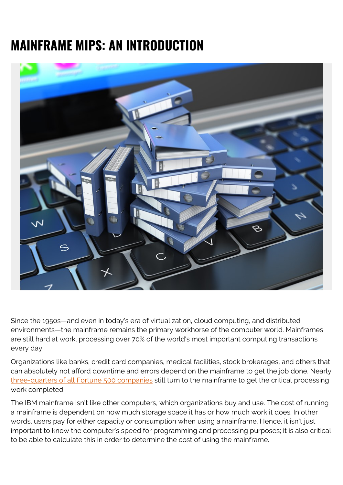## **MAINFRAME MIPS: AN INTRODUCTION**



Since the 1950s—and even in today's era of virtualization, cloud computing, and distributed environments—the mainframe remains the primary workhorse of the computer world. Mainframes are still hard at work, processing over 70% of the world's most important computing transactions every day.

Organizations like banks, credit card companies, medical facilities, stock brokerages, and others that can absolutely not afford downtime and errors depend on the mainframe to get the job done. Nearly [three-quarters of all Fortune 500 companies](https://web.archive.org/web/20160307104004/https://www.share.org/p/bl/et/blogid=2&blogaid=234) still turn to the mainframe to get the critical processing work completed.

The IBM mainframe isn't like other computers, which organizations buy and use. The cost of running a mainframe is dependent on how much storage space it has or how much work it does. In other words, users pay for either capacity or consumption when using a mainframe. Hence, it isn't just important to know the computer's speed for programming and processing purposes; it is also critical to be able to calculate this in order to determine the cost of using the mainframe.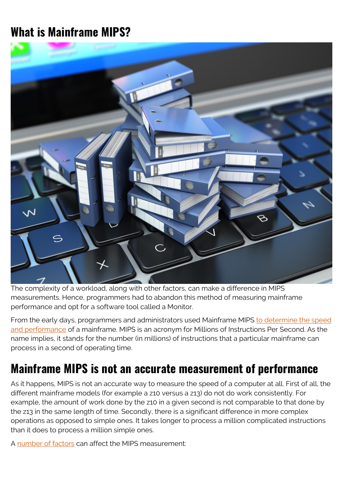## **What is Mainframe MIPS?**



The complexity of a workload, along with other factors, can make a difference in MIPS measurements. Hence, programmers had to abandon this method of measuring mainframe performance and opt for a software tool called a Monitor.

From the early days, programmers and administrators used Mainframe MIPS [to determine the speed](http://searchdatacenter.techtarget.com/definition/MIPS) [and performance](http://searchdatacenter.techtarget.com/definition/MIPS) of a mainframe. MIPS is an acronym for Millions of Instructions Per Second. As the name implies, it stands for the number (in millions) of instructions that a particular mainframe can process in a second of operating time.

## **Mainframe MIPS is not an accurate measurement of performance**

As it happens, MIPS is not an accurate way to measure the speed of a computer at all. First of all, the different mainframe models (for example a z10 versus a z13) do not do work consistently. For example, the amount of work done by the z10 in a given second is not comparable to that done by the z13 in the same length of time. Secondly, there is a significant difference in more complex operations as opposed to simple ones. It takes longer to process a million complicated instructions than it does to process a million simple ones.

A [number of factors](https://web.archive.org/web/2019*/https://www.ibmsystemsmag.com/mainframe/tipstechniques/systemsmanagement/Don-t-Be-Misled-By-MIPS/) can affect the MIPS measurement: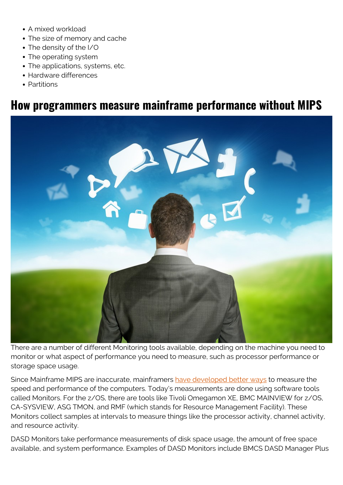- A mixed workload
- The size of memory and cache
- The density of the I/O
- The operating system
- The applications, systems, etc.
- Hardware differences
- Partitions

## **How programmers measure mainframe performance without MIPS**



There are a number of different Monitoring tools available, depending on the machine you need to monitor or what aspect of performance you need to measure, such as processor performance or storage space usage.

Since Mainframe MIPS are inaccurate, mainframers [have developed better ways](https://web.archive.org/web/*/https://www.mainframes360.com/2014/02/sizing-up-your-mainframe-mips-and-msus.html) to measure the speed and performance of the computers. Today's measurements are done using software tools called Monitors. For the z/OS, there are tools like Tivoli Omegamon XE, BMC MAINVIEW for z/OS, CA-SYSVIEW, ASG TMON, and RMF (which stands for Resource Management Facility). These Monitors collect samples at intervals to measure things like the processor activity, channel activity, and resource activity.

DASD Monitors take performance measurements of disk space usage, the amount of free space available, and system performance. Examples of DASD Monitors include BMCS DASD Manager Plus